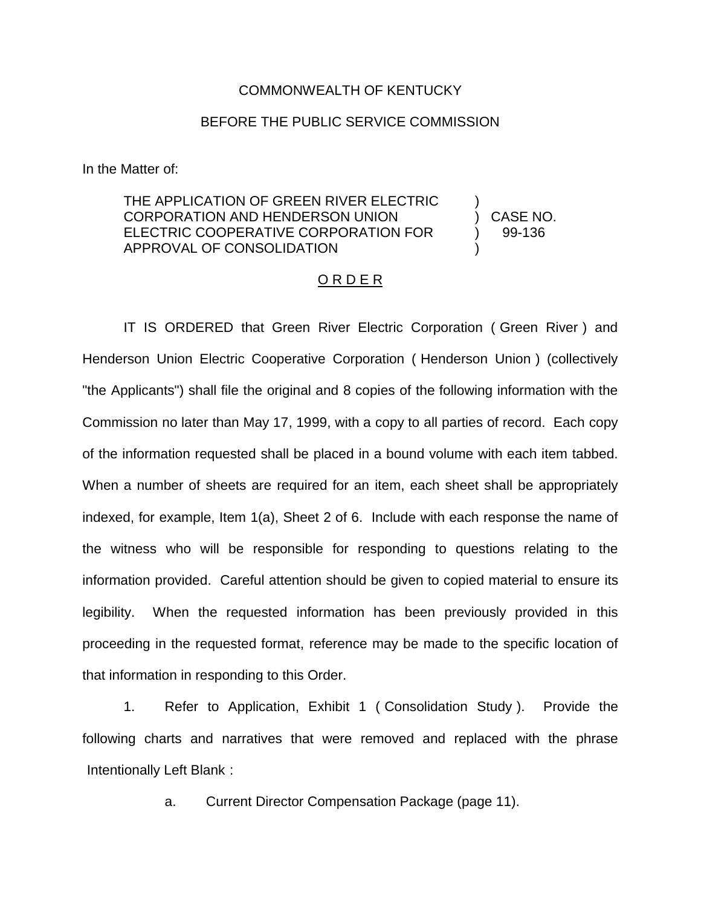## COMMONWEALTH OF KENTUCKY

## BEFORE THE PUBLIC SERVICE COMMISSION

In the Matter of:

## THE APPLICATION OF GREEN RIVER ELECTRIC CORPORATION AND HENDERSON UNION ELECTRIC COOPERATIVE CORPORATION FOR APPROVAL OF CONSOLIDATION ) )

) CASE NO. ) 99-136

## O R D E R

IT IS ORDERED that Green River Electric Corporation ( Green River ) and Henderson Union Electric Cooperative Corporation ( Henderson Union ) (collectively "the Applicants") shall file the original and 8 copies of the following information with the Commission no later than May 17, 1999, with a copy to all parties of record. Each copy of the information requested shall be placed in a bound volume with each item tabbed. When a number of sheets are required for an item, each sheet shall be appropriately indexed, for example, Item 1(a), Sheet 2 of 6. Include with each response the name of the witness who will be responsible for responding to questions relating to the information provided. Careful attention should be given to copied material to ensure its legibility. When the requested information has been previously provided in this proceeding in the requested format, reference may be made to the specific location of that information in responding to this Order.

1. Refer to Application, Exhibit 1 ( Consolidation Study ). Provide the following charts and narratives that were removed and replaced with the phrase Intentionally Left Blank :

a. Current Director Compensation Package (page 11).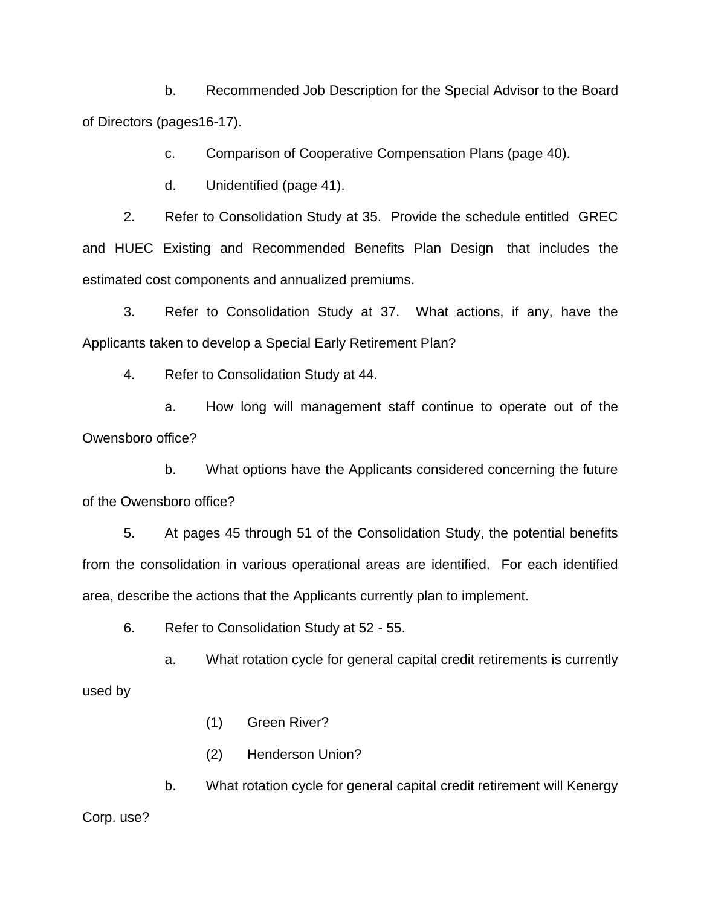b. Recommended Job Description for the Special Advisor to the Board of Directors (pages16-17).

c. Comparison of Cooperative Compensation Plans (page 40).

d. Unidentified (page 41).

2. Refer to Consolidation Study at 35. Provide the schedule entitled GREC and HUEC Existing and Recommended Benefits Plan Design that includes the estimated cost components and annualized premiums.

3. Refer to Consolidation Study at 37. What actions, if any, have the Applicants taken to develop a Special Early Retirement Plan?

4. Refer to Consolidation Study at 44.

a. How long will management staff continue to operate out of the Owensboro office?

b. What options have the Applicants considered concerning the future of the Owensboro office?

5. At pages 45 through 51 of the Consolidation Study, the potential benefits from the consolidation in various operational areas are identified. For each identified area, describe the actions that the Applicants currently plan to implement.

6. Refer to Consolidation Study at 52 - 55.

a. What rotation cycle for general capital credit retirements is currently used by

- (1) Green River?
- (2) Henderson Union?

b. What rotation cycle for general capital credit retirement will Kenergy Corp. use?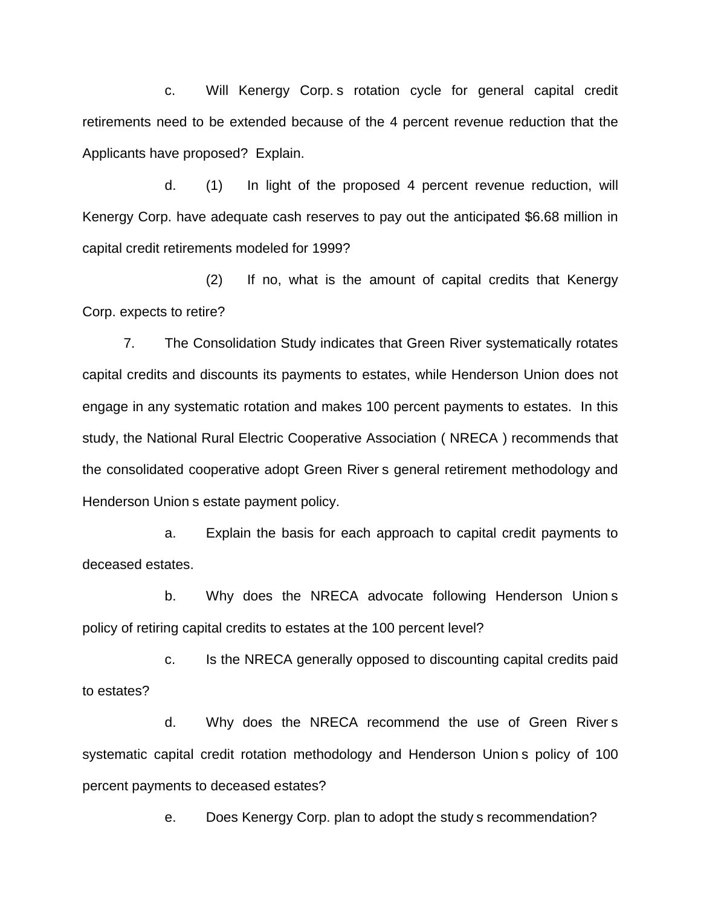c. Will Kenergy Corp. s rotation cycle for general capital credit retirements need to be extended because of the 4 percent revenue reduction that the Applicants have proposed? Explain.

d. (1) In light of the proposed 4 percent revenue reduction, will Kenergy Corp. have adequate cash reserves to pay out the anticipated \$6.68 million in capital credit retirements modeled for 1999?

(2) If no, what is the amount of capital credits that Kenergy Corp. expects to retire?

7. The Consolidation Study indicates that Green River systematically rotates capital credits and discounts its payments to estates, while Henderson Union does not engage in any systematic rotation and makes 100 percent payments to estates. In this study, the National Rural Electric Cooperative Association ( NRECA ) recommends that the consolidated cooperative adopt Green River s general retirement methodology and Henderson Union s estate payment policy.

a. Explain the basis for each approach to capital credit payments to deceased estates.

b. Why does the NRECA advocate following Henderson Union s policy of retiring capital credits to estates at the 100 percent level?

c. Is the NRECA generally opposed to discounting capital credits paid to estates?

d. Why does the NRECA recommend the use of Green River s systematic capital credit rotation methodology and Henderson Union s policy of 100 percent payments to deceased estates?

e. Does Kenergy Corp. plan to adopt the study s recommendation?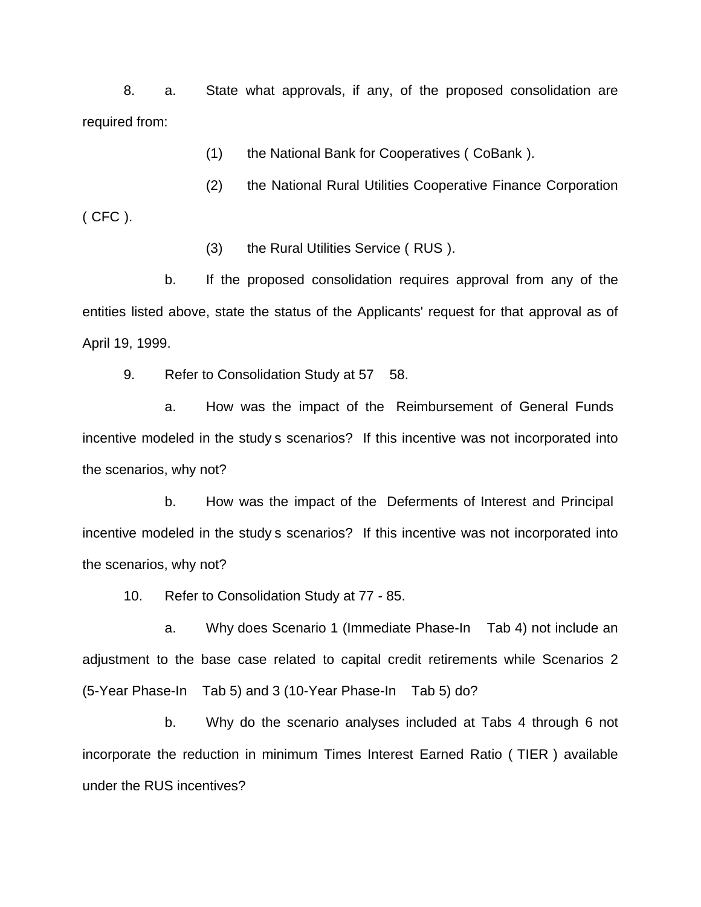8. a. State what approvals, if any, of the proposed consolidation are required from:

(1) the National Bank for Cooperatives ( CoBank ).

(2) the National Rural Utilities Cooperative Finance Corporation ( CFC ).

(3) the Rural Utilities Service ( RUS ).

b. If the proposed consolidation requires approval from any of the entities listed above, state the status of the Applicants' request for that approval as of April 19, 1999.

9. Refer to Consolidation Study at 57 58.

a. How was the impact of the Reimbursement of General Funds incentive modeled in the study s scenarios? If this incentive was not incorporated into the scenarios, why not?

b. How was the impact of the Deferments of Interest and Principal incentive modeled in the study s scenarios? If this incentive was not incorporated into the scenarios, why not?

10. Refer to Consolidation Study at 77 - 85.

a. Why does Scenario 1 (Immediate Phase-In Tab 4) not include an adjustment to the base case related to capital credit retirements while Scenarios 2 (5-Year Phase-In Tab 5) and 3 (10-Year Phase-In Tab 5) do?

b. Why do the scenario analyses included at Tabs 4 through 6 not incorporate the reduction in minimum Times Interest Earned Ratio ( TIER ) available under the RUS incentives?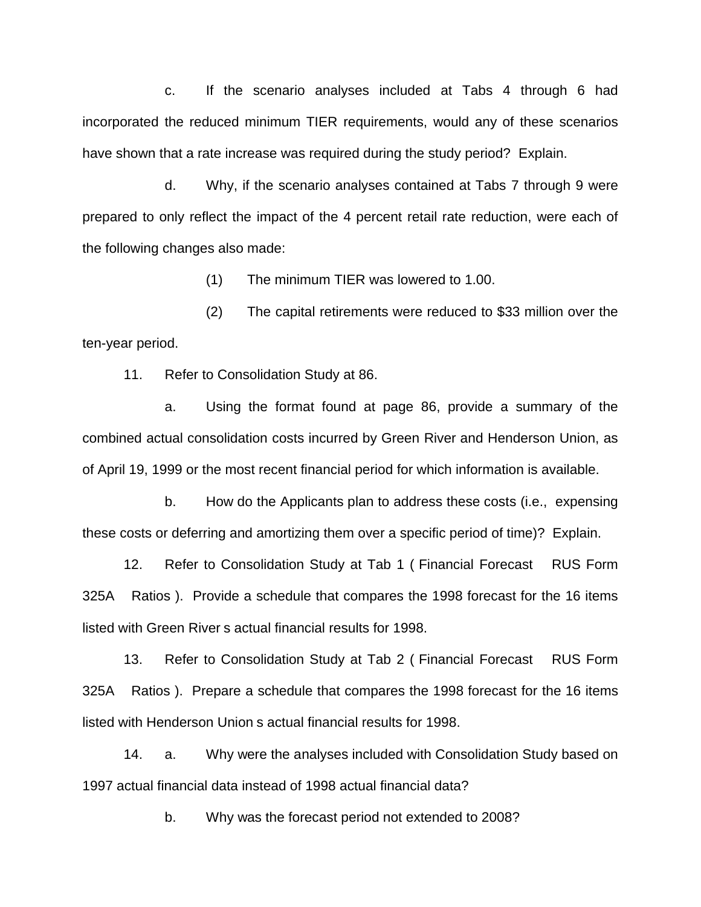c. If the scenario analyses included at Tabs 4 through 6 had incorporated the reduced minimum TIER requirements, would any of these scenarios have shown that a rate increase was required during the study period? Explain.

d. Why, if the scenario analyses contained at Tabs 7 through 9 were prepared to only reflect the impact of the 4 percent retail rate reduction, were each of the following changes also made:

(1) The minimum TIER was lowered to 1.00.

(2) The capital retirements were reduced to \$33 million over the ten-year period.

11. Refer to Consolidation Study at 86.

a. Using the format found at page 86, provide a summary of the combined actual consolidation costs incurred by Green River and Henderson Union, as of April 19, 1999 or the most recent financial period for which information is available.

b. How do the Applicants plan to address these costs (i.e., expensing these costs or deferring and amortizing them over a specific period of time)? Explain.

12. Refer to Consolidation Study at Tab 1 ( Financial Forecast RUS Form 325A Ratios ). Provide a schedule that compares the 1998 forecast for the 16 items listed with Green River s actual financial results for 1998.

13. Refer to Consolidation Study at Tab 2 ( Financial Forecast RUS Form 325A Ratios ). Prepare a schedule that compares the 1998 forecast for the 16 items listed with Henderson Union s actual financial results for 1998.

14. a. Why were the analyses included with Consolidation Study based on 1997 actual financial data instead of 1998 actual financial data?

b. Why was the forecast period not extended to 2008?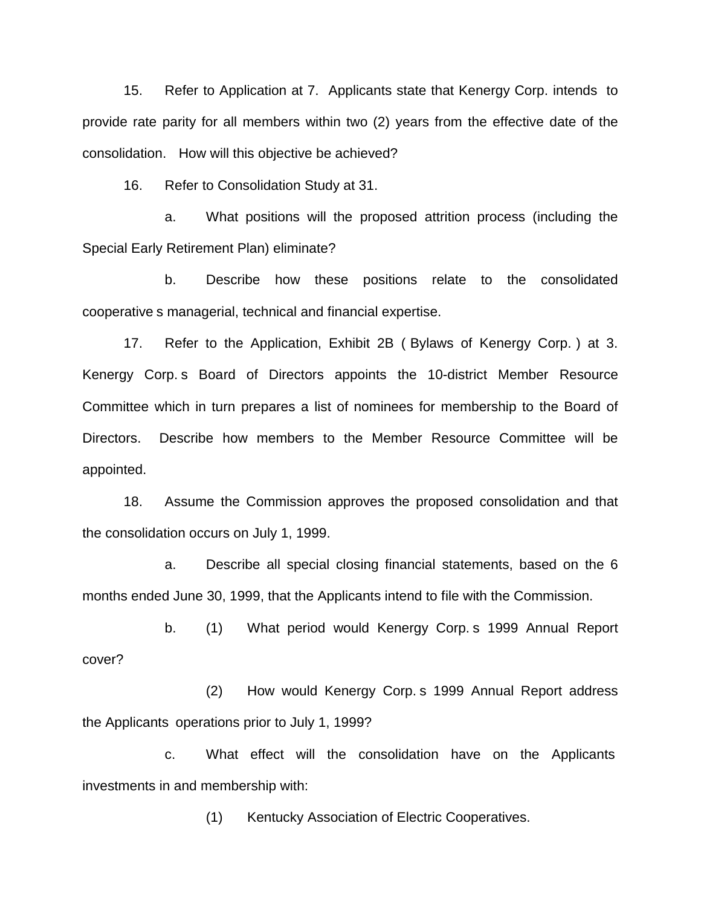15. Refer to Application at 7. Applicants state that Kenergy Corp. intends to provide rate parity for all members within two (2) years from the effective date of the consolidation. How will this objective be achieved?

16. Refer to Consolidation Study at 31.

a. What positions will the proposed attrition process (including the Special Early Retirement Plan) eliminate?

b. Describe how these positions relate to the consolidated cooperative s managerial, technical and financial expertise.

17. Refer to the Application, Exhibit 2B ( Bylaws of Kenergy Corp. ) at 3. Kenergy Corp. s Board of Directors appoints the 10-district Member Resource Committee which in turn prepares a list of nominees for membership to the Board of Directors. Describe how members to the Member Resource Committee will be appointed.

18. Assume the Commission approves the proposed consolidation and that the consolidation occurs on July 1, 1999.

a. Describe all special closing financial statements, based on the 6 months ended June 30, 1999, that the Applicants intend to file with the Commission.

b. (1) What period would Kenergy Corp. s 1999 Annual Report cover?

(2) How would Kenergy Corp. s 1999 Annual Report address the Applicants operations prior to July 1, 1999?

c. What effect will the consolidation have on the Applicants investments in and membership with:

(1) Kentucky Association of Electric Cooperatives.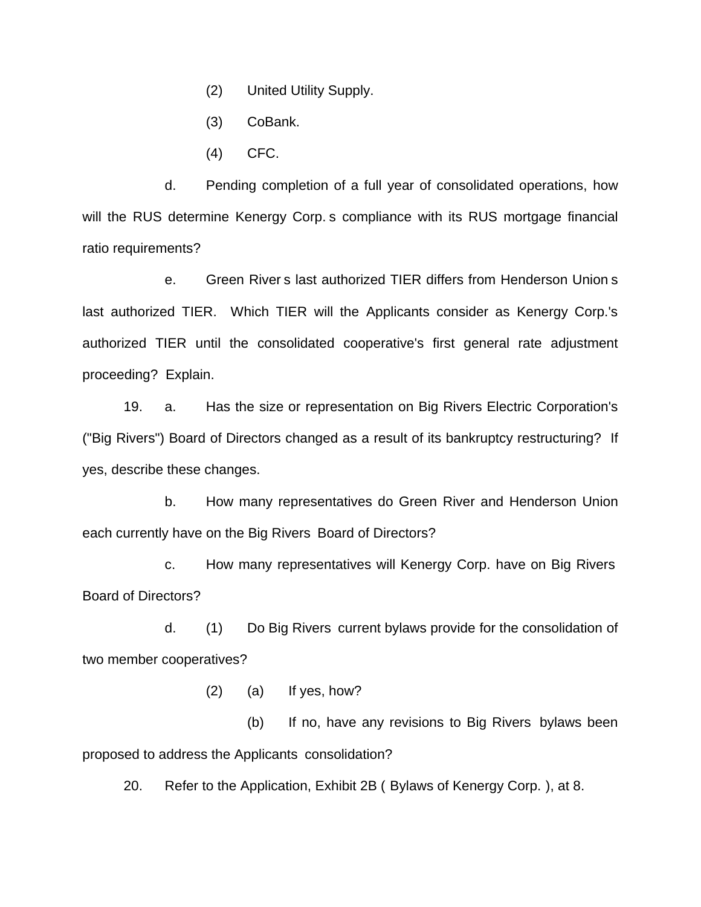- (2) United Utility Supply.
- (3) CoBank.
- (4) CFC.

d. Pending completion of a full year of consolidated operations, how will the RUS determine Kenergy Corp. s compliance with its RUS mortgage financial ratio requirements?

e. Green River s last authorized TIER differs from Henderson Union s last authorized TIER. Which TIER will the Applicants consider as Kenergy Corp.'s authorized TIER until the consolidated cooperative's first general rate adjustment proceeding? Explain.

19. a. Has the size or representation on Big Rivers Electric Corporation's ("Big Rivers") Board of Directors changed as a result of its bankruptcy restructuring? If yes, describe these changes.

b. How many representatives do Green River and Henderson Union each currently have on the Big Rivers Board of Directors?

c. How many representatives will Kenergy Corp. have on Big Rivers Board of Directors?

d. (1) Do Big Rivers current bylaws provide for the consolidation of two member cooperatives?

(2) (a) If yes, how?

(b) If no, have any revisions to Big Rivers bylaws been proposed to address the Applicants consolidation?

20. Refer to the Application, Exhibit 2B ( Bylaws of Kenergy Corp. ), at 8.